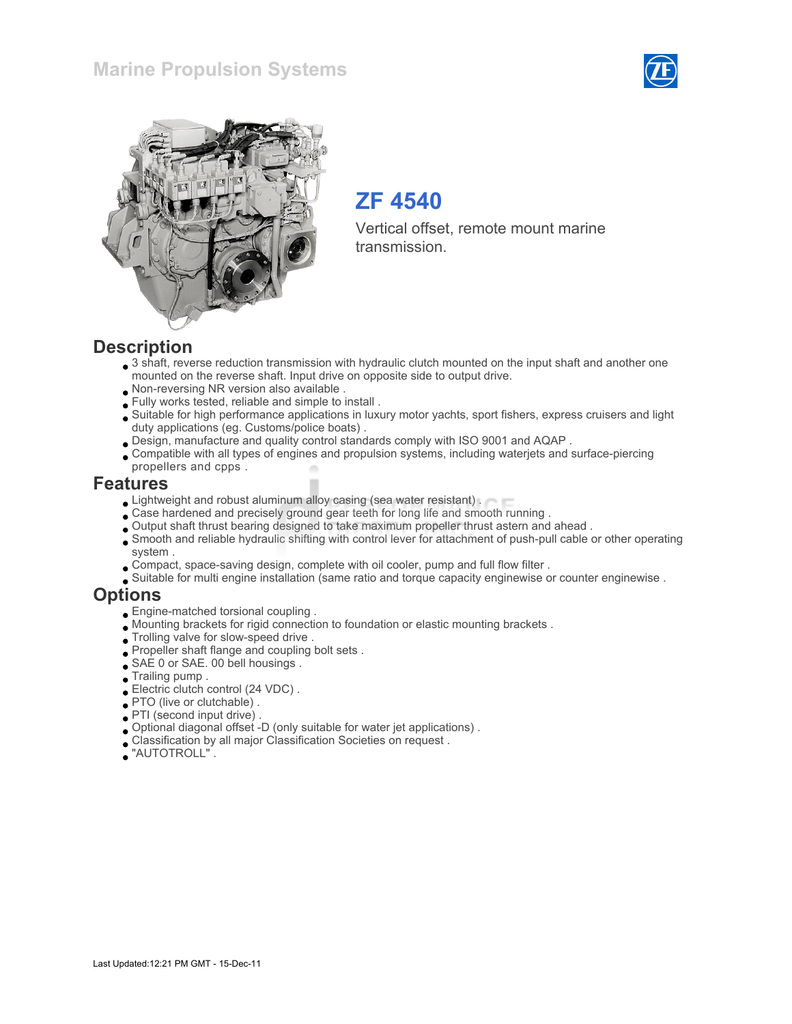### Marine Propulsion Systems





# ZF 4540

Vertical offset, remote mount marine transmission.

#### **Description**

- 3 shaft, reverse reduction transmission with hydraulic clutch mounted on the input shaft and another one mounted on the reverse shaft. Input drive on opposite side to output drive.
- Non-reversing NR version also available .
- Fully works tested, reliable and simple to install .
- Suitable for high performance applications in luxury motor yachts, sport fishers, express cruisers and light duty applications (eg. Customs/police boats) .
- Design, manufacture and quality control standards comply with ISO 9001 and AQAP .
- Compatible with all types of engines and propulsion systems, including waterjets and surface-piercing propellers and cpps .

#### Features

- Lightweight and robust aluminum alloy casing (sea water resistant) .
- Case hardened and precisely ground gear teeth for long life and smooth running .
- Output shaft thrust bearing designed to take maximum propeller thrust astern and ahead .
- Smooth and reliable hydraulic shifting with control lever for attachment of push-pull cable or other operating system .
- Compact, space-saving design, complete with oil cooler, pump and full flow filter .
- Suitable for multi engine installation (same ratio and torque capacity enginewise or counter enginewise .

#### **Options**

- Engine-matched torsional coupling .
- Mounting brackets for rigid connection to foundation or elastic mounting brackets .
- Trolling valve for slow-speed drive .
- Propeller shaft flange and coupling bolt sets .
- SAE 0 or SAE. 00 bell housings .
- Trailing pump .
- Electric clutch control (24 VDC).
- PTO (live or clutchable) .
- PTI (second input drive) .
- Optional diagonal offset -D (only suitable for water jet applications) .
- Classification by all major Classification Societies on request .
- "AUTOTROLL" .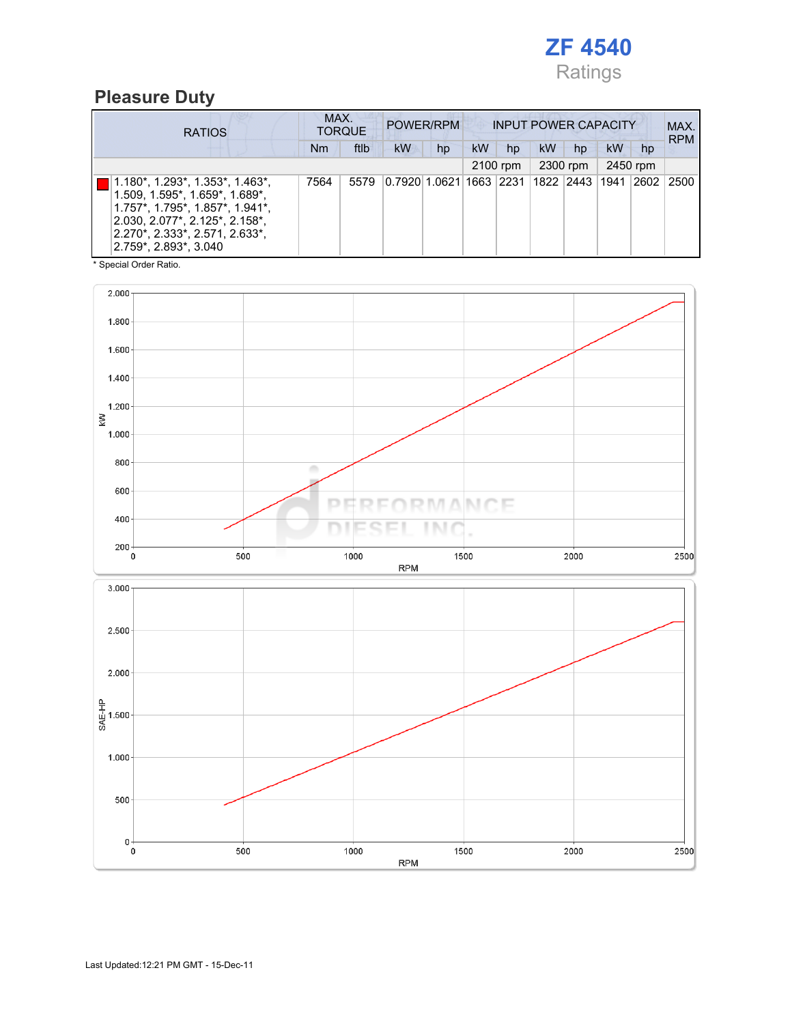

### Pleasure Duty

| <b>RATIOS</b>                                                                                                                                                                                                        |      | MAX.<br>POWER/RPM<br><b>INPUT POWER CAPACITY</b><br><b>TORQUE</b> |                                      |    |           |          |           |          | MAX.<br><b>RPM</b> |                |      |
|----------------------------------------------------------------------------------------------------------------------------------------------------------------------------------------------------------------------|------|-------------------------------------------------------------------|--------------------------------------|----|-----------|----------|-----------|----------|--------------------|----------------|------|
|                                                                                                                                                                                                                      | Nm   | ftlb                                                              | kW                                   | hp | <b>kW</b> | hp       | <b>kW</b> | hp       | kW                 | hp             |      |
|                                                                                                                                                                                                                      |      |                                                                   |                                      |    |           | 2100 rpm |           | 2300 rpm |                    | 2450 rpm       |      |
| $1.180^*$ , $1.293^*$ , $1.353^*$ , $1.463^*$ ,<br>1.509, 1.595*, 1.659*, 1.689*,<br>$1.757$ *, 1.795*, 1.857*, 1.941*,<br>2.030, 2.077*, 2.125*, 2.158*,<br>2.270*, 2.333*, 2.571, 2.633*,<br>2.759*, 2.893*, 3.040 | 7564 | 5579                                                              | 0.7920 1.0621 1663  2231  1822  2443 |    |           |          |           |          | 1941               | $ 2602\rangle$ | 2500 |

\* Special Order Ratio.

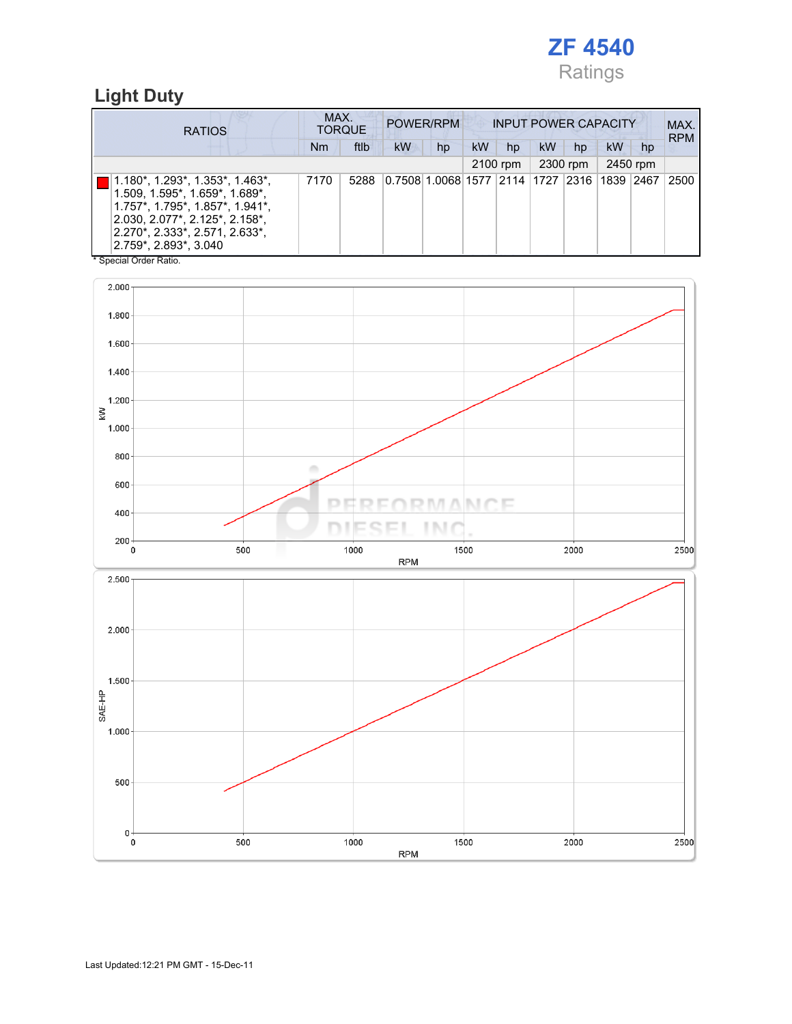

## Light Duty

| <b>RATIOS</b>                                                                                                                                                                                     |         |                        |  | MAX.<br>POWER/RPM<br><b>TORQUE</b> |      |            |                                             | <b>INPUT POWER CAPACITY</b> |          |    |          |    |          | MAX.<br><b>RPM</b> |
|---------------------------------------------------------------------------------------------------------------------------------------------------------------------------------------------------|---------|------------------------|--|------------------------------------|------|------------|---------------------------------------------|-----------------------------|----------|----|----------|----|----------|--------------------|
|                                                                                                                                                                                                   |         |                        |  | <b>Nm</b>                          | ftlb | kW         | hp                                          | kW                          | hp       | kW | hp       | kW | hp       |                    |
|                                                                                                                                                                                                   |         |                        |  |                                    |      |            |                                             |                             | 2100 rpm |    | 2300 rpm |    | 2450 rpm |                    |
| 1.180*, 1.293*, 1.353*, 1.463*,<br>1.509, 1.595*, 1.659*, 1.689*,<br>1.757*, 1.795*, 1.857*, 1.941*,<br>2.030, 2.077*, 2.125*, 2.158*,<br>2.270*, 2.333*, 2.571, 2.633*,<br>2.759*, 2.893*, 3.040 |         |                        |  | 7170                               | 5288 |            | 0.7508 1.0068 1577 2114 1727 2316 1839 2467 |                             |          |    |          |    |          | 2500               |
|                                                                                                                                                                                                   |         | * Special Order Ratio. |  |                                    |      |            |                                             |                             |          |    |          |    |          |                    |
|                                                                                                                                                                                                   | 2.000   |                        |  |                                    |      |            |                                             |                             |          |    |          |    |          |                    |
|                                                                                                                                                                                                   | 1.800   |                        |  |                                    |      |            |                                             |                             |          |    |          |    |          |                    |
|                                                                                                                                                                                                   | 1.600   |                        |  |                                    |      |            |                                             |                             |          |    |          |    |          |                    |
|                                                                                                                                                                                                   | 1.400   |                        |  |                                    |      |            |                                             |                             |          |    |          |    |          |                    |
|                                                                                                                                                                                                   | 1.200   |                        |  |                                    |      |            |                                             |                             |          |    |          |    |          |                    |
| ŠΜ                                                                                                                                                                                                | 1.000   |                        |  |                                    |      |            |                                             |                             |          |    |          |    |          |                    |
|                                                                                                                                                                                                   | 800     |                        |  |                                    |      |            |                                             |                             |          |    |          |    |          |                    |
|                                                                                                                                                                                                   | 600     |                        |  | a.                                 |      |            |                                             |                             |          |    |          |    |          |                    |
|                                                                                                                                                                                                   | 400     |                        |  | D                                  |      |            | M AIN C                                     |                             | 1 F      |    |          |    |          |                    |
|                                                                                                                                                                                                   | $200 -$ |                        |  |                                    |      |            | I N.                                        |                             |          |    |          |    |          |                    |
|                                                                                                                                                                                                   | 0       | 500                    |  |                                    | 1000 | <b>RPM</b> |                                             | 1500                        |          |    | 2000     |    |          | 2500               |
|                                                                                                                                                                                                   | 2.500   |                        |  |                                    |      |            |                                             |                             |          |    |          |    |          |                    |
|                                                                                                                                                                                                   |         |                        |  |                                    |      |            |                                             |                             |          |    |          |    |          |                    |
|                                                                                                                                                                                                   |         |                        |  |                                    |      |            |                                             |                             |          |    |          |    |          |                    |
|                                                                                                                                                                                                   | 2.000   |                        |  |                                    |      |            |                                             |                             |          |    |          |    |          |                    |
|                                                                                                                                                                                                   |         |                        |  |                                    |      |            |                                             |                             |          |    |          |    |          |                    |
|                                                                                                                                                                                                   | 1.500   |                        |  |                                    |      |            |                                             |                             |          |    |          |    |          |                    |
|                                                                                                                                                                                                   |         |                        |  |                                    |      |            |                                             |                             |          |    |          |    |          |                    |
| SAE-HP                                                                                                                                                                                            |         |                        |  |                                    |      |            |                                             |                             |          |    |          |    |          |                    |
|                                                                                                                                                                                                   | 1.000   |                        |  |                                    |      |            |                                             |                             |          |    |          |    |          |                    |
|                                                                                                                                                                                                   |         |                        |  |                                    |      |            |                                             |                             |          |    |          |    |          |                    |
|                                                                                                                                                                                                   |         |                        |  |                                    |      |            |                                             |                             |          |    |          |    |          |                    |
|                                                                                                                                                                                                   | 500     |                        |  |                                    |      |            |                                             |                             |          |    |          |    |          |                    |
|                                                                                                                                                                                                   |         |                        |  |                                    |      |            |                                             |                             |          |    |          |    |          |                    |
|                                                                                                                                                                                                   | 0       |                        |  |                                    |      |            |                                             |                             |          |    |          |    |          |                    |
|                                                                                                                                                                                                   | 0       | 500                    |  |                                    | 1000 | <b>RPM</b> |                                             | 1500                        |          |    | 2000     |    |          | 2500               |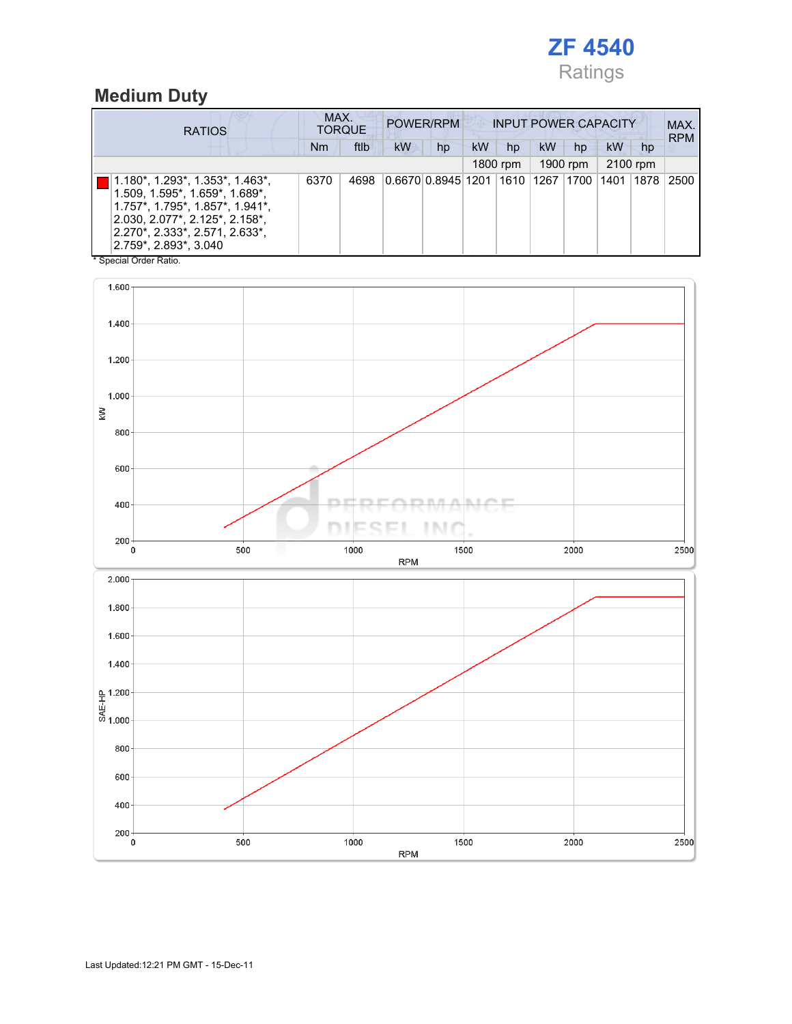

#### Medium Duty

| <b>RATIOS</b>                                                                                                                                                                                     | MAX.      | <b>TORQUE</b> |            | POWER/RPM                                   | <b>INPUT POWER CAPACITY</b> |          |          |              |    |          | MAX.<br><b>RPM</b> |
|---------------------------------------------------------------------------------------------------------------------------------------------------------------------------------------------------|-----------|---------------|------------|---------------------------------------------|-----------------------------|----------|----------|--------------|----|----------|--------------------|
|                                                                                                                                                                                                   | <b>Nm</b> | ftlb          | kW         | hp                                          | kW                          | hp       | kW       | hp           | kW | hp       |                    |
|                                                                                                                                                                                                   |           |               |            |                                             |                             | 1800 rpm | 1900 rpm |              |    | 2100 rpm |                    |
| 1.180*, 1.293*, 1.353*, 1.463*,<br>1.509, 1.595*, 1.659*, 1.689*,<br>1.757*, 1.795*, 1.857*, 1.941*,<br>2.030, 2.077*, 2.125*, 2.158*,<br>2.270*, 2.333*, 2.571, 2.633*,<br>2.759*, 2.893*, 3.040 | 6370      | 4698          |            | 0.6670 0.8945 1201 1610 1267 1700 1401 1878 |                             |          |          |              |    |          | 2500               |
| * Special Order Ratio.                                                                                                                                                                            |           |               |            |                                             |                             |          |          |              |    |          |                    |
| 1.600                                                                                                                                                                                             |           |               |            |                                             |                             |          |          |              |    |          |                    |
| 1.400                                                                                                                                                                                             |           |               |            |                                             |                             |          |          |              |    |          |                    |
| 1.200                                                                                                                                                                                             |           |               |            |                                             |                             |          |          |              |    |          |                    |
| 1.000                                                                                                                                                                                             |           |               |            |                                             |                             |          |          |              |    |          |                    |
| Š<br>800                                                                                                                                                                                          |           |               |            |                                             |                             |          |          |              |    |          |                    |
| 600                                                                                                                                                                                               |           |               |            |                                             |                             |          |          |              |    |          |                    |
|                                                                                                                                                                                                   |           |               |            |                                             |                             |          |          |              |    |          |                    |
| 400                                                                                                                                                                                               |           |               |            | I N 1                                       | ANT                         |          |          |              |    |          |                    |
| $200 -$<br>500<br>0                                                                                                                                                                               |           | 1000          | <b>RPM</b> | 1500                                        |                             |          |          | 2000         |    |          | 2500               |
| 2.000                                                                                                                                                                                             |           |               |            |                                             |                             |          |          |              |    |          |                    |
| 1.800                                                                                                                                                                                             |           |               |            |                                             |                             |          |          |              |    |          |                    |
| 1.600                                                                                                                                                                                             |           |               |            |                                             |                             |          |          |              |    |          |                    |
| 1.400                                                                                                                                                                                             |           |               |            |                                             |                             |          |          |              |    |          |                    |
| 오 1.200<br>방<br>- 6<br>- 6 1.000                                                                                                                                                                  |           |               |            |                                             |                             |          |          |              |    |          |                    |
|                                                                                                                                                                                                   |           |               |            |                                             |                             |          |          |              |    |          |                    |
| 800                                                                                                                                                                                               |           |               |            |                                             |                             |          |          |              |    |          |                    |
| 600                                                                                                                                                                                               |           |               |            |                                             |                             |          |          |              |    |          |                    |
| 400                                                                                                                                                                                               |           |               |            |                                             |                             |          |          |              |    |          |                    |
| $200 -$<br>0<br>$500\,$                                                                                                                                                                           |           | 1000          | <b>RPM</b> | 1500                                        |                             |          |          | ${\bf 2000}$ |    |          | 2500               |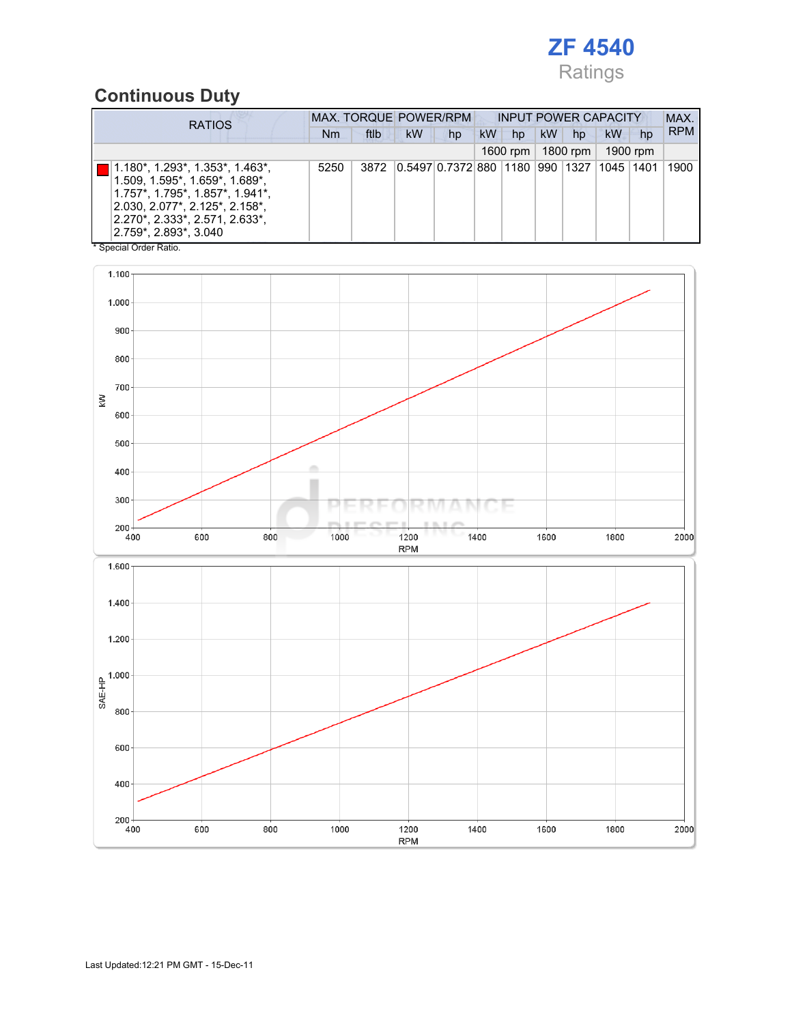

### Continuous Duty

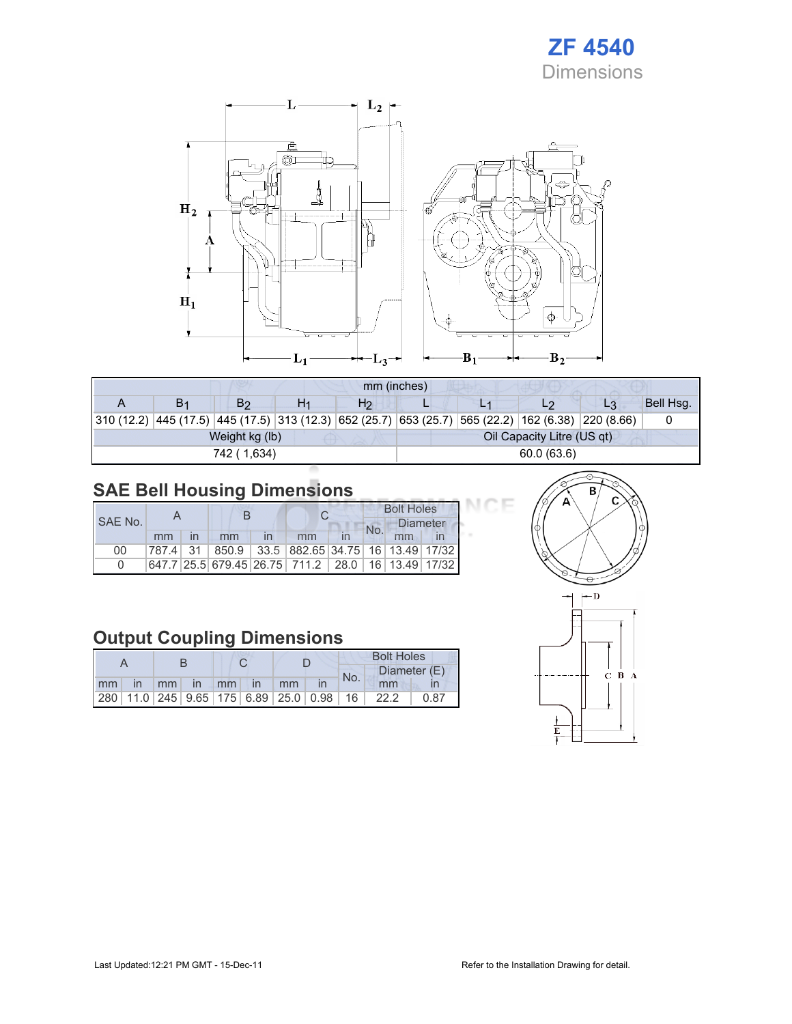



|                                                                                                            | mm (inches)    |                |    |                |            |  |                            |                |           |  |
|------------------------------------------------------------------------------------------------------------|----------------|----------------|----|----------------|------------|--|----------------------------|----------------|-----------|--|
|                                                                                                            | B <sub>1</sub> | B <sub>2</sub> | H1 | H <sub>2</sub> |            |  | L2                         | L <sub>3</sub> | Bell Hsq. |  |
| 310 (12.2)  445 (17.5)  445 (17.5)  313 (12.3)  652 (25.7)  653 (25.7)  565 (22.2)  162 (6.38)  220 (8.66) |                |                |    |                |            |  |                            |                |           |  |
|                                                                                                            |                | Weight kg (lb) |    |                |            |  | Oil Capacity Litre (US qt) |                |           |  |
|                                                                                                            |                | 742 (1,634)    |    |                | 60.0(63.6) |  |                            |                |           |  |

## SAE Bell Housing Dimensions

|         |    |    |                                                                   | <b>Bolt Holes</b> |                 |  |  |
|---------|----|----|-------------------------------------------------------------------|-------------------|-----------------|--|--|
| SAE No. |    |    |                                                                   | No.               | <b>Diameter</b> |  |  |
|         | mm | mm | mm                                                                |                   | mm              |  |  |
| 00      |    |    | 787.4   31   850.9   33.5   882.65   34.75   16   13.49   17/32   |                   |                 |  |  |
|         |    |    | 647.7   25.5   679.45   26.75   711.2   28.0   16   13.49   17/32 |                   |                 |  |  |

## Output Coupling Dimensions

|    |              |         |          |  |               |    |                                                         |     | <b>Bolt Holes</b> |              |
|----|--------------|---------|----------|--|---------------|----|---------------------------------------------------------|-----|-------------------|--------------|
|    |              |         |          |  |               |    |                                                         | No. |                   | Diameter (E) |
| mm | $\mathsf{I}$ | $-1$ mm | $\ln$ mm |  | $\mathsf{In}$ | mm |                                                         |     | mm                |              |
|    |              |         |          |  |               |    | 280   11.0   245   9.65   175   6.89   25.0   0.98   16 |     | 22.2              | 0.87         |